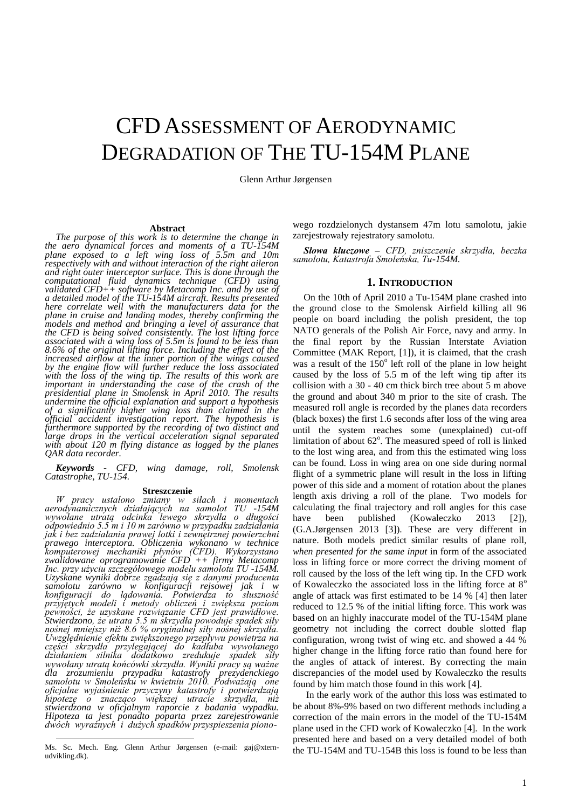# CFD ASSESSMENT OF AERODYNAMIC DEGRADATION OF THE TU-154M PLANE

Glenn Arthur Jørgensen

#### **Abstract**

*The purpose of this work is to determine the change in the aero dynamical forces and moments of a TU-154M plane exposed to a left wing loss of 5.5m and 10m respectively with and without interaction of the right aileron and right outer interceptor surface. This is done through the computational fluid dynamics technique (CFD) using validated CFD++ software by Metacomp Inc. and by use of a detailed model of the TU-154M aircraft. Results presented here correlate well with the manufacturers data for the plane in cruise and landing modes, thereby confirming the models and method and bringing a level of assurance that the CFD is being solved consistently. The lost lifting force associated with a wing loss of 5.5m is found to be less than 8.6% of the original lifting force. Including the effect of the increased airflow at the inner portion of the wings caused by the engine flow will further reduce the loss associated with the loss of the wing tip. The results of this work are important in understanding the case of the crash of the presidential plane in Smolensk in April 2010. The results undermine the official explanation and support a hypothesis of a significantly higher wing loss than claimed in the official accident investigation report. The hypothesis is furthermore supported by the recording of two distinct and large drops in the vertical acceleration signal separated with about 120 m flying distance as logged by the planes QAR data recorder.*

*Keywords* - *CFD, wing damage, roll, Smolensk Catastrophe, TU-154.*

#### **Streszczenie**

*W pracy ustalono zmiany w siłach i momentach aerodynamicznych działających na samolot TU -154M wywołane utratą odcinka lewego skrzydła o długości odpowiednio 5.5 m i 10 m zarówno w przypadku zadziałania jak i bez zadziałania prawej lotki i zewnętrznej powierzchni prawego interceptora. Obliczenia wykonano w technice komputerowej mechaniki płynów (CFD). Wykorzystano zwalidowane oprogramowanie CFD ++ firmy Metacomp Inc. przy użyciu szczegółowego modelu samolotu TU -154M. Uzyskane wyniki dobrze zgadzają się z danymi producenta samolotu zarówno w konfiguracji rejsowej jak i w konfiguracji do lądowania. Potwierdza to słuszność przyjętych modeli i metody obliczeń i zwiększa poziom pewności, że uzyskane rozwiązanie CFD jest prawidłowe. Stwierdzono, że utrata 5.5 m skrzydła powoduje spadek siły nośnej mniejszy niż 8.6 % oryginalnej siły nośnej skrzydła. Uwzględnienie efektu zwiększonego przepływu powietrza na części skrzydła przylegającej do kadłuba wywołanego działaniem silnika dodatkowo zredukuje spadek siły wywołany utratą końcówki skrzydła. Wyniki pracy są ważne dla zrozumieniu przypadku katastrofy prezydenckiego samolotu w Smoleńsku w kwietniu 2010. Podważają one oficjalne wyjaśnienie przyczyny katastrofy i potwierdzają hipotezę o znacząco większej utracie skrzydła, niż stwierdzona w oficjalnym raporcie z badania wypadku. Hipoteza ta jest ponadto poparta przez zarejestrowanie dwóch wyraźnych i dużych spadków przyspieszenia piono-*

 $\overline{a}$ 

wego rozdzielonych dystansem 47m lotu samolotu, jakie zarejestrowały rejestratory samolotu.

*Słowa kluczowe – CFD, zniszczenie skrzydła, beczka samolotu, Katastrofa Smoleńska, Tu-154M.*

### <span id="page-0-2"></span>**1. INTRODUCTION**

On the 10th of April 2010 a Tu-154M plane crashed into the ground close to the Smolensk Airfield killing all 96 people on board including the polish president, the top NATO generals of the Polish Air Force, navy and army. In the final report by the Russian Interstate Aviation Committee (MAK Report, [1]), it is claimed, that the crash was a result of the  $150^{\circ}$  left roll of the plane in low height caused by the loss of 5.5 m of the left wing tip after its collision with a 30 - 40 cm thick birch tree about 5 m above the ground and about 340 m prior to the site of crash. The measured roll angle is recorded by the planes data recorders (black boxes) the first 1.6 seconds after loss of the wing area until the system reaches some (unexplained) cut-off limitation of about 62°. The measured speed of roll is linked to the lost wing area, and from this the estimated wing loss can be found. Loss in wing area on one side during normal flight of a symmetric plane will result in the loss in lifting power of this side and a moment of rotation about the planes length axis driving a roll of the plane. Two models for calculating the final trajectory and roll angles for this case have been published (Kowaleczko 2013 [2]), (G.A.Jørgensen 2013 [3]). These are very different in nature. Both models predict similar results of plane roll, *when presented for the same input* in form of the associated loss in lifting force or more correct the driving moment of roll caused by the loss of the left wing tip. In the CFD work of Kowaleczko the associated loss in the lifting force at  $8^\circ$ angle of attack was first estimated to be 14 % [4] then later reduced to 12.5 % of the initial lifting force. This work was based on an highly inaccurate model of the TU-154M plane geometry not including the correct double slotted flap configuration, wrong twist of wing etc. and showed a 44 % higher change in the lifting force ratio than found here for the angles of attack of interest. By correcting the main discrepancies of the model used by Kowaleczko the results found by him match those found in this work [\[4\]](#page-0-0).

<span id="page-0-1"></span><span id="page-0-0"></span>In the early work of the author this loss was estimated to be about 8%-9% based on two different methods including a correction of the main errors in the model of the TU-154M plane used in the CFD work of Kowaleczko [4]. In the work presented here and based on a very detailed model of both the TU-154M and TU-154B this loss is found to be less than

Ms. Sc. Mech. Eng. Glenn Arthur Jørgensen (e-mail: gaj@xternudvikling.dk).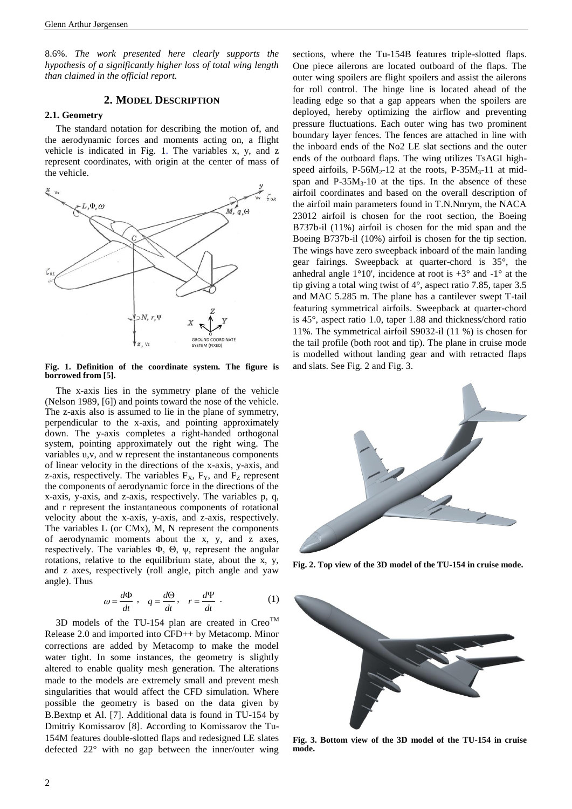8.6%. *The work presented here clearly supports the hypothesis of a significantly higher loss of total wing length than claimed in the official report.*

## **2. MODEL DESCRIPTION**

#### **2.1. Geometry**

The standard notation for describing the motion of, and the aerodynamic forces and moments acting on, a flight vehicle is indicated in [Fig. 1.](#page-1-0) The variables x, y, and z represent coordinates, with origin at the center of mass of the vehicle.



<span id="page-1-0"></span>**Fig. 1. Definition of the coordinate system. The figure is borrowed from [5].**

The x-axis lies in the symmetry plane of the vehicle (Nelson 1989, [6]) and points toward the nose of the vehicle. The z-axis also is assumed to lie in the plane of symmetry, perpendicular to the x-axis, and pointing approximately down. The y-axis completes a right-handed orthogonal system, pointing approximately out the right wing. The variables u,v, and w represent the instantaneous components of linear velocity in the directions of the x-axis, y-axis, and z-axis, respectively. The variables  $F_X$ ,  $F_Y$ , and  $F_Z$  represent the components of aerodynamic force in the directions of the x-axis, y-axis, and z-axis, respectively. The variables p, q, and r represent the instantaneous components of rotational velocity about the x-axis, y-axis, and z-axis, respectively. The variables L (or CMx), M, N represent the components of aerodynamic moments about the x, y, and z axes, respectively. The variables Φ, Θ, ψ, represent the angular rotations, relative to the equilibrium state, about the x, y, and z axes, respectively (roll angle, pitch angle and yaw angle). Thus

$$
\omega = \frac{d\Phi}{dt} \ , \quad q = \frac{d\Theta}{dt} \ , \quad r = \frac{d\Psi}{dt} \ . \tag{1}
$$

<span id="page-1-3"></span>3D models of the TU-154 plan are created in  $C_{\text{re}}^{TM}$ Release 2.0 and imported into CFD++ by Metacomp. Minor corrections are added by Metacomp to make the model water tight. In some instances, the geometry is slightly altered to enable quality mesh generation. The alterations made to the models are extremely small and prevent mesh singularities that would affect the CFD simulation. Where possible the geometry is based on the data given by B.Bextnp et Al. [7]. Additional data is found in TU-154 by Dmitriy Komissarov [8]. According to Komissarov the Tu-154M features double-slotted flaps and redesigned LE slates defected 22° with no gap between the inner/outer wing sections, where the Tu-154B features triple-slotted flaps. One piece ailerons are located outboard of the flaps. The outer wing spoilers are flight spoilers and assist the ailerons for roll control. The hinge line is located ahead of the leading edge so that a gap appears when the spoilers are deployed, hereby optimizing the airflow and preventing pressure fluctuations. Each outer wing has two prominent boundary layer fences. The fences are attached in line with the inboard ends of the No2 LE slat sections and the outer ends of the outboard flaps. The wing utilizes TsAGI highspeed airfoils, P-56M<sub>2</sub>-12 at the roots, P-35M<sub>3</sub>-11 at midspan and  $P-35M_3-10$  at the tips. In the absence of these airfoil coordinates and based on the overall description of the airfoil main parameters found in T.N.Nnrym, the NACA 23012 airfoil is chosen for the root section, the Boeing B737b-il (11%) airfoil is chosen for the mid span and the Boeing B737b-il (10%) airfoil is chosen for the tip section. The wings have zero sweepback inboard of the main landing gear fairings. Sweepback at quarter-chord is 35°, the anhedral angle  $1^{\circ}10'$ , incidence at root is  $+3^{\circ}$  and  $-1^{\circ}$  at the tip giving a total wing twist of 4°, aspect ratio 7.85, taper 3.5 and MAC 5.285 m. The plane has a cantilever swept T-tail featuring symmetrical airfoils. Sweepback at quarter-chord is 45°, aspect ratio 1.0, taper 1.88 and thickness/chord ratio 11%. The symmetrical airfoil S9032-il (11 %) is chosen for the tail profile (both root and tip). The plane in cruise mode is modelled without landing gear and with retracted flaps and slats. See [Fig. 2](#page-1-1) and [Fig. 3.](#page-1-2)



<span id="page-1-1"></span>**Fig. 2. Top view of the 3D model of the TU-154 in cruise mode.** 

<span id="page-1-2"></span>

**Fig. 3. Bottom view of the 3D model of the TU-154 in cruise mode.**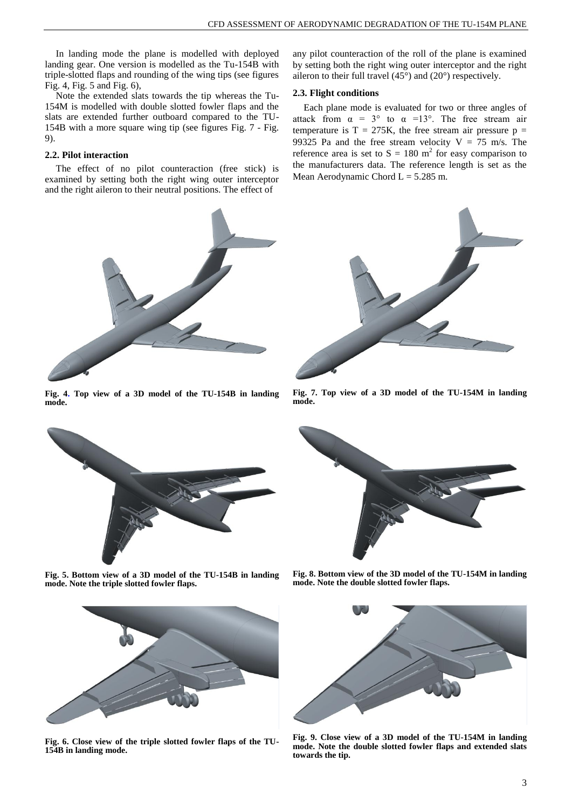In landing mode the plane is modelled with deployed landing gear. One version is modelled as the Tu-154B with triple-slotted flaps and rounding of the wing tips (see figures [Fig. 4,](#page-2-0) [Fig. 5](#page-2-1) and [Fig. 6\)](#page-2-2),

Note the extended slats towards the tip whereas the Tu-154M is modelled with double slotted fowler flaps and the slats are extended further outboard compared to the TU-154B with a more square wing tip (see figures [Fig. 7](#page-2-3) - [Fig.](#page-2-4)  [9\)](#page-2-4).

## **2.2. Pilot interaction**

The effect of no pilot counteraction (free stick) is examined by setting both the right wing outer interceptor and the right aileron to their neutral positions. The effect of

<span id="page-2-0"></span>**Fig. 4. Top view of a 3D model of the TU-154B in landing mode.**



<span id="page-2-1"></span>**Fig. 5. Bottom view of a 3D model of the TU-154B in landing mode. Note the triple slotted fowler flaps.**

<span id="page-2-2"></span>

**Fig. 6. Close view of the triple slotted fowler flaps of the TU-154B in landing mode.** 

any pilot counteraction of the roll of the plane is examined by setting both the right wing outer interceptor and the right aileron to their full travel (45°) and (20°) respectively.

#### **2.3. Flight conditions**

Each plane mode is evaluated for two or three angles of attack from  $\alpha = 3^{\circ}$  to  $\alpha = 13^{\circ}$ . The free stream air temperature is  $T = 275K$ , the free stream air pressure  $p =$ 99325 Pa and the free stream velocity  $V = 75$  m/s. The reference area is set to  $S = 180$  m<sup>2</sup> for easy comparison to the manufacturers data. The reference length is set as the Mean Aerodynamic Chord  $L = 5.285$  m.



**Fig. 7. Top view of a 3D model of the TU-154M in landing mode.**

<span id="page-2-3"></span>

**Fig. 8. Bottom view of the 3D model of the TU-154M in landing mode. Note the double slotted fowler flaps.**

<span id="page-2-4"></span>

**Fig. 9. Close view of a 3D model of the TU-154M in landing mode. Note the double slotted fowler flaps and extended slats towards the tip.**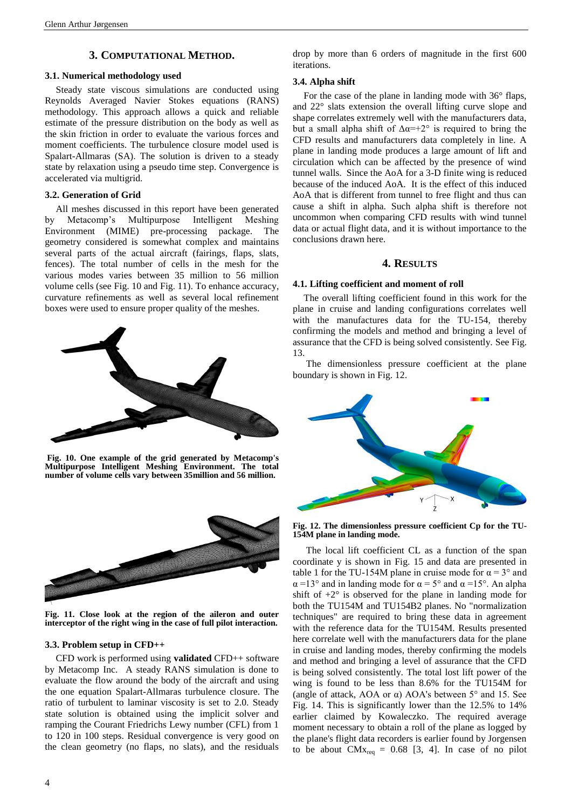## **3. COMPUTATIONAL METHOD.**

#### **3.1. Numerical methodology used**

Steady state viscous simulations are conducted using Reynolds Averaged Navier Stokes equations (RANS) methodology. This approach allows a quick and reliable estimate of the pressure distribution on the body as well as the skin friction in order to evaluate the various forces and moment coefficients. The turbulence closure model used is Spalart-Allmaras (SA). The solution is driven to a steady state by relaxation using a pseudo time step. Convergence is accelerated via multigrid.

### **3.2. Generation of Grid**

All meshes discussed in this report have been generated by Metacomp's Multipurpose Intelligent Meshing Environment (MIME) pre-processing package. The geometry considered is somewhat complex and maintains several parts of the actual aircraft (fairings, flaps, slats, fences). The total number of cells in the mesh for the various modes varies between 35 million to 56 million volume cells (see [Fig. 10](#page-3-0) and [Fig. 11\)](#page-3-1). To enhance accuracy, curvature refinements as well as several local refinement boxes were used to ensure proper quality of the meshes.



<span id="page-3-0"></span>**Fig. 10. One example of the grid generated by Metacomp's Multipurpose Intelligent Meshing Environment. The total number of volume cells vary between 35million and 56 million.**



**Fig. 11. Close look at the region of the aileron and outer interceptor of the right wing in the case of full pilot interaction.**

## <span id="page-3-1"></span>**3.3. Problem setup in CFD++**

CFD work is performed using **validated** CFD++ software by Metacomp Inc. A steady RANS simulation is done to evaluate the flow around the body of the aircraft and using the one equation Spalart-Allmaras turbulence closure. The ratio of turbulent to laminar viscosity is set to 2.0. Steady state solution is obtained using the implicit solver and ramping the Courant Friedrichs Lewy number (CFL) from 1 to 120 in 100 steps. Residual convergence is very good on the clean geometry (no flaps, no slats), and the residuals drop by more than 6 orders of magnitude in the first 600 iterations.

#### **3.4. Alpha shift**

For the case of the plane in landing mode with 36° flaps, and 22° slats extension the overall lifting curve slope and shape correlates extremely well with the manufacturers data, but a small alpha shift of  $\Delta \alpha = +2^{\circ}$  is required to bring the CFD results and manufacturers data completely in line. A plane in landing mode produces a large amount of lift and circulation which can be affected by the presence of wind tunnel walls. Since the AoA for a 3-D finite wing is reduced because of the induced AoA. It is the effect of this induced AoA that is different from tunnel to free flight and thus can cause a shift in alpha. Such alpha shift is therefore not uncommon when comparing CFD results with wind tunnel data or actual flight data, and it is without importance to the conclusions drawn here.

### **4. RESULTS**

#### **4.1. Lifting coefficient and moment of roll**

The overall lifting coefficient found in this work for the plane in cruise and landing configurations correlates well with the manufactures data for the TU-154, thereby confirming the models and method and bringing a level of assurance that the CFD is being solved consistently. Se[e Fig.](#page-4-0)  [13.](#page-4-0)

The dimensionless pressure coefficient at the plane boundary is shown in [Fig. 12.](#page-3-2)



**Fig. 12. The dimensionless pressure coefficient Cp for the TU-154M plane in landing mode.**

<span id="page-3-2"></span>The local lift coefficient CL as a function of the span coordinate y is shown in [Fig. 15](#page-4-1) and data are presented in table 1 for the TU-154M plane in cruise mode for  $\alpha = 3^{\circ}$  and  $\alpha$  =13° and in landing mode for  $\alpha$  = 5° and  $\alpha$  =15°. An alpha shift of  $+2^{\circ}$  is observed for the plane in landing mode for both the TU154M and TU154B2 planes. No "normalization techniques" are required to bring these data in agreement with the reference data for the TU154M. Results presented here correlate well with the manufacturers data for the plane in cruise and landing modes, thereby confirming the models and method and bringing a level of assurance that the CFD is being solved consistently. The total lost lift power of the wing is found to be less than 8.6% for the TU154M for (angle of attack, AOA or α) AOA's between 5° and 15. See [Fig. 14.](#page-4-2) This is significantly lower than the 12.5% to 14% earlier claimed by Kowaleczko. The required average moment necessary to obtain a roll of the plane as logged by the plane's flight data recorders is earlier found by Jorgensen to be about  $CMx_{req} = 0.68$  [\[3,](#page-0-1) [4\]](#page-0-0). In case of no pilot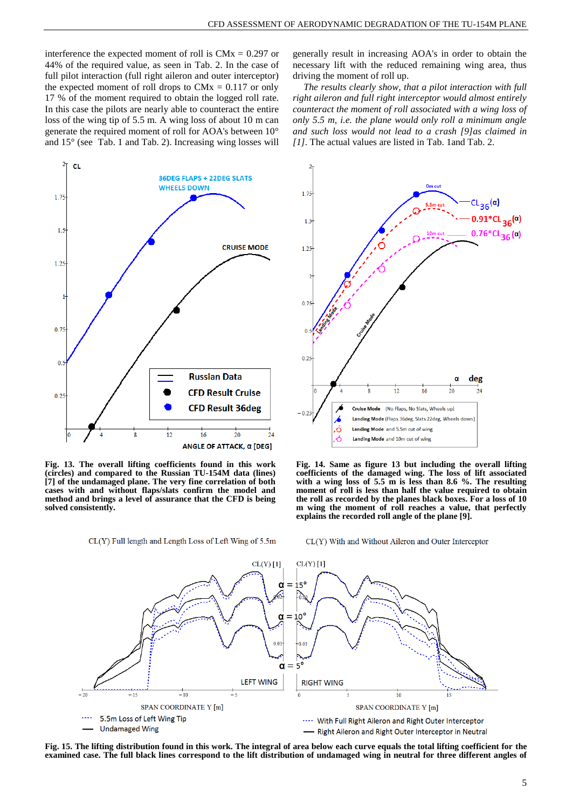interference the expected moment of roll is  $CMx = 0.297$  or 44% of the required value, as seen in [Tab. 2.](#page-5-0) In the case of full pilot interaction (full right aileron and outer interceptor) the expected moment of roll drops to  $CMx = 0.117$  or only 17 % of the moment required to obtain the logged roll rate. In this case the pilots are nearly able to counteract the entire loss of the wing tip of 5.5 m. A wing loss of about 10 m can generate the required moment of roll for AOA's between 10° and 15° (see [Tab. 1](#page-5-1) and [Tab. 2\)](#page-5-0). Increasing wing losses will



<span id="page-4-0"></span>**Fig. 13. The overall lifting coefficients found in this work (circles) and compared to the Russian TU-154M data (lines) [7] of the undamaged plane. The very fine correlation of both cases with and without flaps/slats confirm the model and method and brings a level of assurance that the CFD is being solved consistently.**

CL(Y) Full length and Length Loss of Left Wing of 5.5m

generally result in increasing AOA's in order to obtain the necessary lift with the reduced remaining wing area, thus driving the moment of roll up.

<span id="page-4-3"></span>*The results clearly show, that a pilot interaction with full right aileron and full right interceptor would almost entirely counteract the moment of roll associated with a wing loss of only 5.5 m, i.e. the plane would only roll a minimum angle and such loss would not lead to a crash [9]as claimed in [\[1\]](#page-0-2).* The actual values are listed in [Tab. 1a](#page-5-1)n[d Tab. 2.](#page-5-0)



<span id="page-4-2"></span>**Fig. 14. Same as figure 13 but including the overall lifting coefficients of the damaged wing. The loss of lift associated with a wing loss of 5.5 m is less than 8.6 %. The resulting moment of roll is less than half the value required to obtain the roll as recorded by the planes black boxes. For a loss of 10 m wing the moment of roll reaches a value, that perfectly explains the recorded roll angle of the plane [\[9\]](#page-4-3).**

CL(Y) With and Without Aileron and Outer Interceptor



<span id="page-4-1"></span>**Fig. 15. The lifting distribution found in this work. The integral of area below each curve equals the total lifting coefficient for the examined case. The full black lines correspond to the lift distribution of undamaged wing in neutral for three different angles of**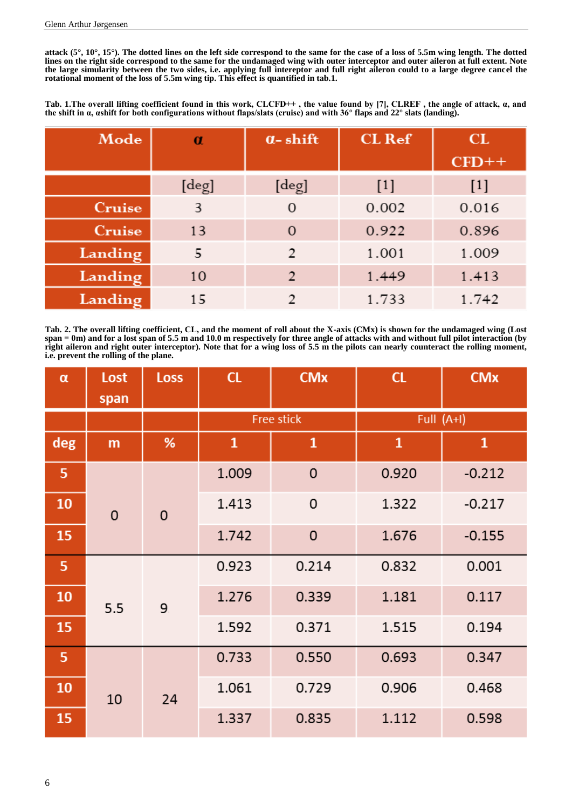**attack (5°, 10°, 15°). The dotted lines on the left side correspond to the same for the case of a loss of 5.5m wing length. The dotted lines on the right side correspond to the same for the undamaged wing with outer interceptor and outer aileron at full extent. Note the large simularity between the two sides, i.e. applying full intereptor and full right aileron could to a large degree cancel the rotational moment of the loss of 5.5m wing tip. This effect is quantified in tab.1.**

<span id="page-5-1"></span>**Tab. 1.The overall lifting coefficient found in this work, CLCFD++ , the value found by [7], CLREF , the angle of attack, α, and the shift in α, αshift for both configurations without flaps/slats (cruise) and with 36° flaps and 22° slats (landing).**

| Mode    | $\alpha$ |                | <b>CL</b> Ref | CL      |
|---------|----------|----------------|---------------|---------|
|         |          |                |               | $CFD++$ |
|         | [deg]    | [deg]          | $[1]$         | $[1]$   |
| Cruise  | 3        | $\mathbf{O}$   | 0.002         | 0.016   |
| Cruise  | 13       | 0              | 0.922         | 0.896   |
| Landing | 5        | $\overline{2}$ | 1.001         | 1.009   |
| Landing | 10       | $\overline{2}$ | 1.449         | 1.413   |
| Landing | 15       | 2              | 1.733         | 1.742   |

<span id="page-5-0"></span>**Tab. 2. The overall lifting coefficient, CL, and the moment of roll about the X-axis (CMx) is shown for the undamaged wing (Lost span = 0m) and for a lost span of 5.5 m and 10.0 m respectively for three angle of attacks with and without full pilot interaction (by right aileron and right outer interceptor). Note that for a wing loss of 5.5 m the pilots can nearly counteract the rolling moment, i.e. prevent the rolling of the plane.**

| $\alpha$ | Lost        | <b>Loss</b> | CL           | <b>CMx</b>   | CL           | <b>CMx</b>   |
|----------|-------------|-------------|--------------|--------------|--------------|--------------|
|          | span        |             |              |              |              |              |
|          |             |             | Free stick   |              | Full (A+I)   |              |
| deg      | m           | %           | $\mathbf{1}$ | $\mathbf{1}$ | $\mathbf{1}$ | $\mathbf{1}$ |
| 5        |             |             | 1.009        | $\mathsf 0$  | 0.920        | $-0.212$     |
| 10       | $\mathbf 0$ | $\mathbf 0$ | 1.413        | $\mathbf 0$  | 1.322        | $-0.217$     |
| 15       |             |             | 1.742        | $\mathbf 0$  | 1.676        | $-0.155$     |
| 5        |             |             | 0.923        | 0.214        | 0.832        | 0.001        |
| 10       | 5.5         | 9.          | 1.276        | 0.339        | 1.181        | 0.117        |
| 15       |             |             | 1.592        | 0.371        | 1.515        | 0.194        |
| 5        |             |             | 0.733        | 0.550        | 0.693        | 0.347        |
| 10       | 10          | 24          | 1.061        | 0.729        | 0.906        | 0.468        |
| 15       |             |             | 1.337        | 0.835        | 1.112        | 0.598        |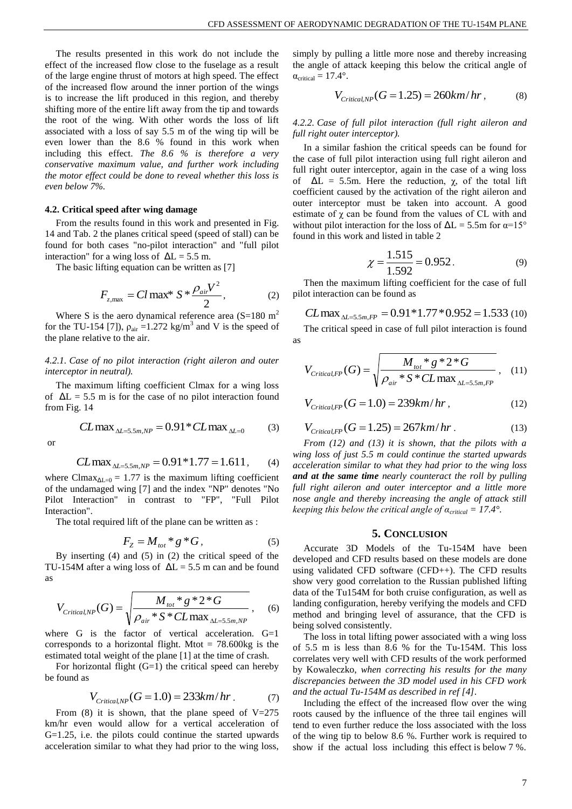The results presented in this work do not include the effect of the increased flow close to the fuselage as a result of the large engine thrust of motors at high speed. The effect of the increased flow around the inner portion of the wings is to increase the lift produced in this region, and thereby shifting more of the entire lift away from the tip and towards the root of the wing. With other words the loss of lift associated with a loss of say 5.5 m of the wing tip will be even lower than the 8.6 % found in this work when including this effect. *The 8.6 % is therefore a very conservative maximum value, and further work including the motor effect could be done to reveal whether this loss is even below 7%.*

#### **4.2. Critical speed after wing damage**

From the results found in this work and presented in [Fig.](#page-4-2)  [14](#page-4-2) and [Tab. 2](#page-5-0) the planes critical speed (speed of stall) can be found for both cases "no-pilot interaction" and "full pilot interaction" for a wing loss of  $\Delta L = 5.5$  m.

The basic lifting equation can be written as [\[7\]](#page-1-3)

$$
F_{z,\text{max}} = Cl \max^* S * \frac{\rho_{air} V^2}{2},\tag{2}
$$

Where S is the aero dynamical reference area  $(S=180 \text{ m}^2)$ for the TU-154 [\[7\]](#page-1-3)),  $\rho_{air} = 1.272 \text{ kg/m}^3$  and V is the speed of the plane relative to the air.

## *4.2.1. Case of no pilot interaction (right aileron and outer interceptor in neutral).*

The maximum lifting coefficient Clmax for a wing loss of  $\Delta L = 5.5$  m is for the case of no pilot interaction found fro[m Fig. 14](#page-4-2)

$$
CL \max_{\Delta L = 5.5 m, NP} = 0.91 * CL \max_{\Delta L = 0} \tag{3}
$$

or

$$
CL \max_{\Delta L = 5.5 m, NP} = 0.91 * 1.77 = 1.611, \tag{4}
$$

where Clmax<sub> $\Delta L=0$ </sub> = 1.77 is the maximum lifting coefficient of the undamaged wing [\[7\]](#page-1-3) and the index "NP" denotes "No Pilot Interaction" in contrast to "FP", "Full Pilot Interaction".

The total required lift of the plane can be written as :

$$
F_Z = M_{tot} * g * G, \qquad (5)
$$

By inserting (4) and (5) in (2) the critical speed of the TU-154M after a wing loss of  $\Delta L = 5.5$  m can and be found as

$$
V_{\text{Critical,NP}}(G) = \sqrt{\frac{M_{\text{tot}} * g * 2 * G}{\rho_{\text{air}} * S * CL \max_{\Delta L = 5.5 m, NP}}},
$$
 (6)

where G is the factor of vertical acceleration. G=1 corresponds to a horizontal flight. Mtot =  $78.600\text{kg}$  is the estimated total weight of the plane [\[1\]](#page-0-2) at the time of crash.

For horizontal flight (G=1) the critical speed can hereby be found as

$$
V_{\text{Critical,NP}}(G = 1.0) = 233 \, km/hr \,. \tag{7}
$$

From (8) it is shown, that the plane speed of  $V=275$ km/hr even would allow for a vertical acceleration of G=1.25, i.e. the pilots could continue the started upwards acceleration similar to what they had prior to the wing loss,

simply by pulling a little more nose and thereby increasing the angle of attack keeping this below the critical angle of  $\alpha_{critical} = 17.4^{\circ}.$ 

$$
V_{\text{Critical,NP}}(G = 1.25) = 260 \, km/hr \,, \tag{8}
$$

#### *4.2.2. Case of full pilot interaction (full right aileron and full right outer interceptor).*

In a similar fashion the critical speeds can be found for the case of full pilot interaction using full right aileron and full right outer interceptor, again in the case of a wing loss of  $\Delta L = 5.5$ m. Here the reduction,  $\chi$ , of the total lift coefficient caused by the activation of the right aileron and outer interceptor must be taken into account. A good estimate of  $\chi$  can be found from the values of CL with and without pilot interaction for the loss of  $\Delta L = 5.5$ m for  $\alpha = 15^{\circ}$ found in this work and listed in table 2

$$
\chi = \frac{1.515}{1.592} = 0.952. \tag{9}
$$

Then the maximum lifting coefficient for the case of full pilot interaction can be found as

$$
CL \max_{\Delta L = 5.5 m, FP} = 0.91 * 1.77 * 0.952 = 1.533 \text{ (10)}
$$

The critical speed in case of full pilot interaction is found as

$$
V_{\text{Critical, FP}}(G) = \sqrt{\frac{M_{\text{tot}} * g * 2 * G}{\rho_{\text{air}} * S * CL \max_{\Delta L = 5.5 m, FP}}}, \quad (11)
$$

$$
V_{\text{Critical,FP}}(G=1.0) = 239 \, km/hr \,, \tag{12}
$$

$$
V_{\text{Critical,FP}}(G = 1.25) = 267 \, \text{km/hr} \,. \tag{13}
$$

*From (12) and (13) it is shown, that the pilots with a wing loss of just 5.5 m could continue the started upwards acceleration similar to what they had prior to the wing loss and at the same time nearly counteract the roll by pulling full right aileron and outer interceptor and a little more nose angle and thereby increasing the angle of attack still keeping this below the critical angle of*  $\alpha_{critical} = 17.4^{\circ}$ *.* 

## **5. CONCLUSION**

Accurate 3D Models of the Tu-154M have been developed and CFD results based on these models are done using validated CFD software (CFD++). The CFD results show very good correlation to the Russian published lifting data of the Tu154M for both cruise configuration, as well as landing configuration, hereby verifying the models and CFD method and bringing level of assurance, that the CFD is being solved consistently.

The loss in total lifting power associated with a wing loss of 5.5 m is less than 8.6 % for the Tu-154M. This loss correlates very well with CFD results of the work performed by Kowaleczko, *when correcting his results for the many discrepancies between the 3D model used in his CFD work and the actual Tu-154M as described in ref [\[4\]](#page-0-0)*.

Including the effect of the increased flow over the wing roots caused by the influence of the three tail engines will tend to even further reduce the loss associated with the loss of the wing tip to below 8.6 %. Further work is required to show if the actual loss including this effect is below 7 %.